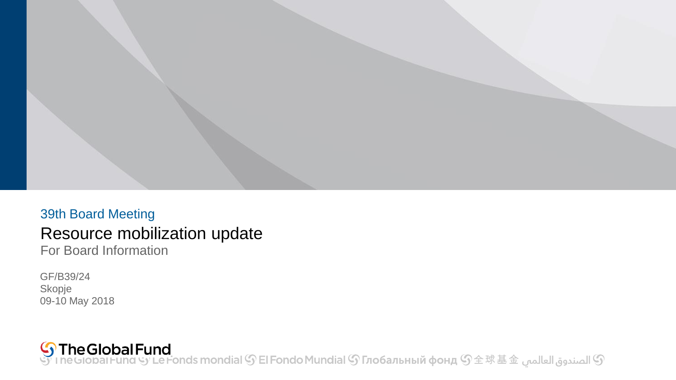

### 39th Board Meeting Resource mobilization update For Board Information

GF/B39/24 Skopje 09-10 May 2018

<mark>் The Global Fund</mark><br>بالصندوق العالمي هـ I neGlobal Fund Sy Le Fonds mondial இ El Fondo Mundial இ Глобальный фонд இ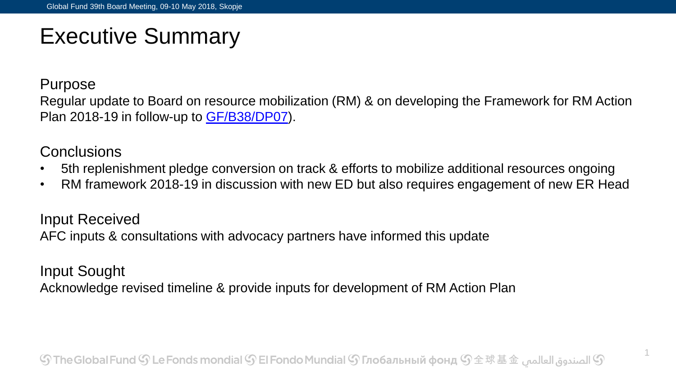### Executive Summary

Purpose

Regular update to Board on resource mobilization (RM) & on developing the Framework for RM Action Plan 2018-19 in follow-up to [GF/B38/DP07\)](https://www.theglobalfund.org/board-decisions/b38-dp07/).

### **Conclusions**

- 5th replenishment pledge conversion on track & efforts to mobilize additional resources ongoing
- RM framework 2018-19 in discussion with new ED but also requires engagement of new ER Head

Input Received AFC inputs & consultations with advocacy partners have informed this update

Input Sought Acknowledge revised timeline & provide inputs for development of RM Action Plan

1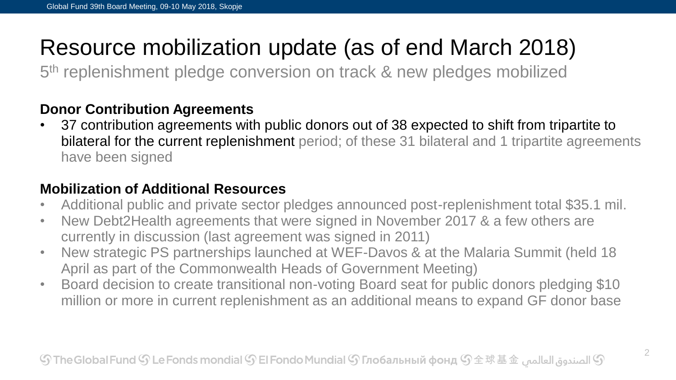## Resource mobilization update (as of end March 2018)

5<sup>th</sup> replenishment pledge conversion on track & new pledges mobilized

#### **Donor Contribution Agreements**

• 37 contribution agreements with public donors out of 38 expected to shift from tripartite to bilateral for the current replenishment period; of these 31 bilateral and 1 tripartite agreements have been signed

### **Mobilization of Additional Resources**

- Additional public and private sector pledges announced post-replenishment total \$35.1 mil.
- New Debt2Health agreements that were signed in November 2017 & a few others are currently in discussion (last agreement was signed in 2011)
- New strategic PS partnerships launched at WEF-Davos & at the Malaria Summit (held 18 April as part of the Commonwealth Heads of Government Meeting)
- Board decision to create transitional non-voting Board seat for public donors pledging \$10 million or more in current replenishment as an additional means to expand GF donor base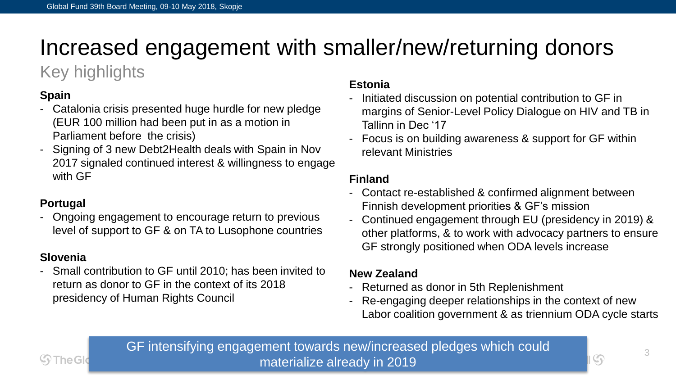## Increased engagement with smaller/new/returning donors

### Key highlights

#### **Spain**

- Catalonia crisis presented huge hurdle for new pledge (EUR 100 million had been put in as a motion in Parliament before the crisis)
- Signing of 3 new Debt2Health deals with Spain in Nov 2017 signaled continued interest & willingness to engage with GF

#### **Portugal**

- Ongoing engagement to encourage return to previous level of support to GF & on TA to Lusophone countries

#### **Slovenia**

(၄) The Gl

- Small contribution to GF until 2010; has been invited to return as donor to GF in the context of its 2018 presidency of Human Rights Council

#### **Estonia**

- Initiated discussion on potential contribution to GF in margins of Senior-Level Policy Dialogue on HIV and TB in Tallinn in Dec '17
- Focus is on building awareness & support for GF within relevant Ministries

#### **Finland**

- Contact re-established & confirmed alignment between Finnish development priorities & GF's mission
- Continued engagement through EU (presidency in 2019) & other platforms, & to work with advocacy partners to ensure GF strongly positioned when ODA levels increase

#### **New Zealand**

- Returned as donor in 5th Replenishment
- Re-engaging deeper relationships in the context of new Labor coalition government & as triennium ODA cycle starts

GF intensifying engagement towards new/increased pledges which could materialize already in 2019

 $\mathcal{G}$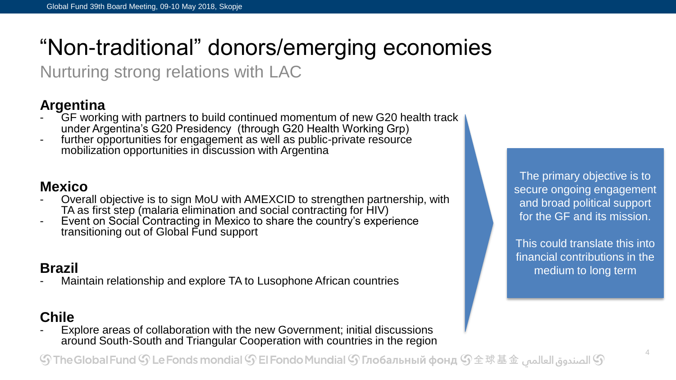# "Non-traditional" donors/emerging economies

Nurturing strong relations with LAC

### **Argentina**

- GF working with partners to build continued momentum of new G20 health track under Argentina's G20 Presidency (through G20 Health Working Grp)
- further opportunities for engagement as well as public-private resource mobilization opportunities in discussion with Argentina

#### **Mexico**

- Overall objective is to sign MoU with AMEXCID to strengthen partnership, with TA as first step (malaria elimination and social contracting for HIV)
- Event on Social Contracting in Mexico to share the country's experience transitioning out of Global Fund support

### **Brazil**

Maintain relationship and explore TA to Lusophone African countries

#### **Chile**

Explore areas of collaboration with the new Government; initial discussions around South-South and Triangular Cooperation with countries in the region

۞ الصندوق العالمي ۞ The Global Fund ۞ Le Fonds mondial ۞ El Fondo Mundial ۞ Глобальный фонд ۞  $\pm$  求 基 $\pm$   $\pm$ 

The primary objective is to secure ongoing engagement and broad political support for the GF and its mission.

This could translate this into financial contributions in the medium to long term

4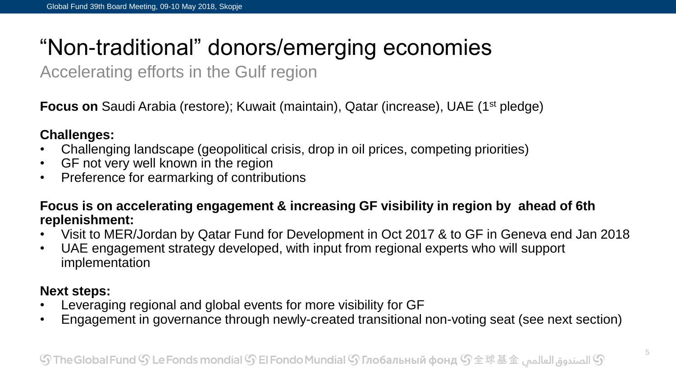# "Non-traditional" donors/emerging economies

Accelerating efforts in the Gulf region

**Focus on** Saudi Arabia (restore); Kuwait (maintain), Qatar (increase), UAE (1<sup>st</sup> pledge)

#### **Challenges:**

- Challenging landscape (geopolitical crisis, drop in oil prices, competing priorities)
- GF not very well known in the region
- Preference for earmarking of contributions

**Focus is on accelerating engagement & increasing GF visibility in region by ahead of 6th replenishment:**

- Visit to MER/Jordan by Qatar Fund for Development in Oct 2017 & to GF in Geneva end Jan 2018
- UAE engagement strategy developed, with input from regional experts who will support implementation

#### **Next steps:**

- Leveraging regional and global events for more visibility for GF
- Engagement in governance through newly-created transitional non-voting seat (see next section)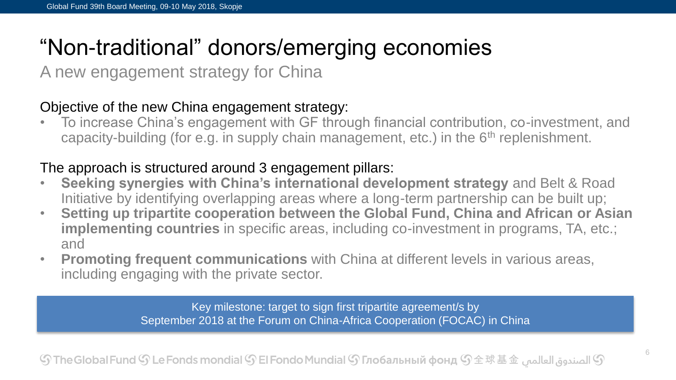## "Non-traditional" donors/emerging economies

A new engagement strategy for China

#### Objective of the new China engagement strategy:

• To increase China's engagement with GF through financial contribution, co-investment, and capacity-building (for e.g. in supply chain management, etc.) in the  $6<sup>th</sup>$  replenishment.

#### The approach is structured around 3 engagement pillars:

- **Seeking synergies with China's international development strategy** and Belt & Road Initiative by identifying overlapping areas where a long-term partnership can be built up;
- **Setting up tripartite cooperation between the Global Fund, China and African or Asian implementing countries** in specific areas, including co-investment in programs, TA, etc.; and
- **Promoting frequent communications** with China at different levels in various areas, including engaging with the private sector.

Key milestone: target to sign first tripartite agreement/s by September 2018 at the Forum on China-Africa Cooperation (FOCAC) in China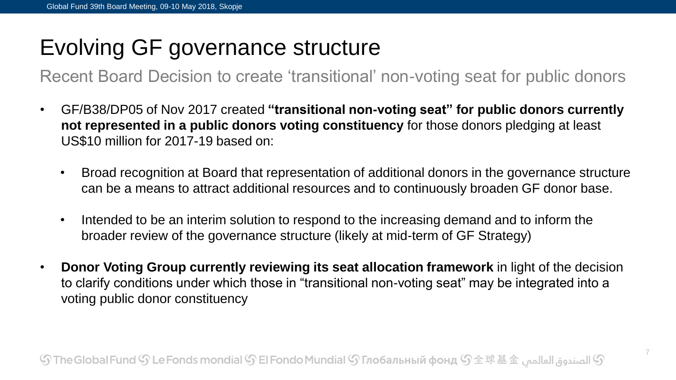## Evolving GF governance structure

Recent Board Decision to create 'transitional' non-voting seat for public donors

- GF/B38/DP05 of Nov 2017 created **"transitional non-voting seat" for public donors currently not represented in a public donors voting constituency** for those donors pledging at least US\$10 million for 2017-19 based on:
	- Broad recognition at Board that representation of additional donors in the governance structure can be a means to attract additional resources and to continuously broaden GF donor base.
	- Intended to be an interim solution to respond to the increasing demand and to inform the broader review of the governance structure (likely at mid-term of GF Strategy)
- **Donor Voting Group currently reviewing its seat allocation framework** in light of the decision to clarify conditions under which those in "transitional non-voting seat" may be integrated into a voting public donor constituency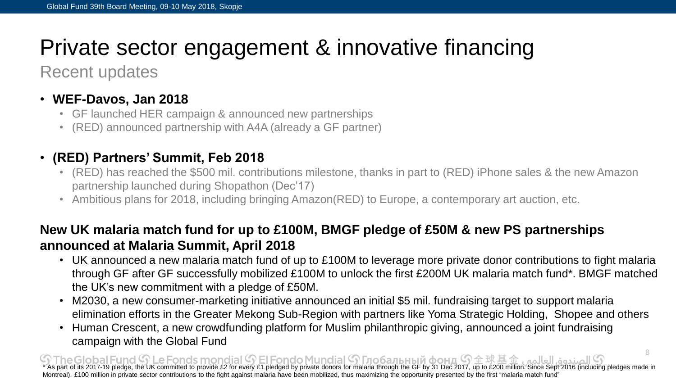## Private sector engagement & innovative financing

Recent updates

#### • **WEF-Davos, Jan 2018**

- GF launched HER campaign & announced new partnerships
- (RED) announced partnership with A4A (already a GF partner)

### • **(RED) Partners' Summit, Feb 2018**

- (RED) has reached the \$500 mil. contributions milestone, thanks in part to (RED) iPhone sales & the new Amazon partnership launched during Shopathon (Dec'17)
- Ambitious plans for 2018, including bringing Amazon(RED) to Europe, a contemporary art auction, etc.

#### **New UK malaria match fund for up to £100M, BMGF pledge of £50M & new PS partnerships announced at Malaria Summit, April 2018**

- UK announced a new malaria match fund of up to £100M to leverage more private donor contributions to fight malaria through GF after GF successfully mobilized £100M to unlock the first £200M UK malaria match fund\*. BMGF matched the UK's new commitment with a pledge of £50M.
- M2030, a new consumer-marketing initiative announced an initial \$5 mil. fundraising target to support malaria elimination efforts in the Greater Mekong Sub-Region with partners like Yoma Strategic Holding, Shopee and others
- Human Crescent, a new crowdfunding platform for Muslim philanthropic giving, announced a joint fundraising campaign with the Global Fund

8  $\textcircled{3}$   $\textcircled{4}$   $\textcircled{4}$   $\textcircled{5}$   $\textcircled{5}$   $\textcircled{6}$   $\textcircled{7}$   $\textcircled{7}$   $\textcircled{7}$  and  $\textcircled{7}$  and  $\textcircled{7}$   $\textcircled{7}$  and  $\textcircled{7}$   $\textcircled{7}$   $\textcircled{7}$  and  $\textcircled{8}$  for every £1 pledged by private donors for Montreal), £100 million in private sector contributions to the fight against malaria have been mobilized, thus maximizing the opportunity presented by the first "malaria match fund"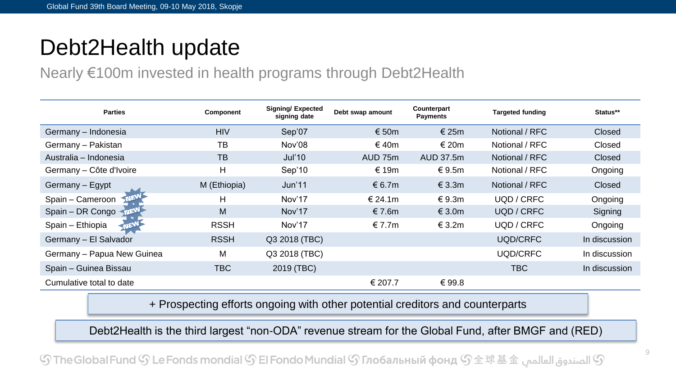### Debt2Health update

### Nearly €100m invested in health programs through Debt2Health

| <b>Parties</b>             | Component    | <b>Signing/ Expected</b><br>signing date | Debt swap amount | Counterpart<br><b>Payments</b> | <b>Targeted funding</b> | Status**      |
|----------------------------|--------------|------------------------------------------|------------------|--------------------------------|-------------------------|---------------|
| Germany – Indonesia        | <b>HIV</b>   | Sep'07                                   | € 50 $m$         | € 25 $m$                       | Notional / RFC          | <b>Closed</b> |
| Germany - Pakistan         | TB           | Nov'08                                   | € 40m            | € 20m                          | Notional / RFC          | Closed        |
| Australia – Indonesia      | <b>TB</b>    | Jul'10                                   | AUD 75m          | AUD 37.5m                      | Notional / RFC          | <b>Closed</b> |
| Germany – Côte d'Ivoire    | H            | Sep'10                                   | € 19m            | € 9.5m                         | Notional / RFC          | Ongoing       |
| Germany - Egypt            | M (Ethiopia) | Jun'11                                   | € 6.7m           | $\in$ 3.3m                     | Notional / RFC          | Closed        |
| Spain - Cameroon           | н            | Nov'17                                   | € 24.1m          | € 9.3m                         | UQD / CRFC              | Ongoing       |
| Spain - DR Congo           | M            | Nov'17                                   | € 7.6m           | € 3.0 $m$                      | UQD / CRFC              | Signing       |
| Spain - Ethiopia<br>יבוה   | <b>RSSH</b>  | Nov'17                                   | € 7.7 $m$        | € 3.2m                         | UQD / CRFC              | Ongoing       |
| Germany - El Salvador      | <b>RSSH</b>  | Q3 2018 (TBC)                            |                  |                                | UQD/CRFC                | In discussion |
| Germany - Papua New Guinea | М            | Q3 2018 (TBC)                            |                  |                                | UQD/CRFC                | In discussion |
| Spain - Guinea Bissau      | TBC.         | 2019 (TBC)                               |                  |                                | TBC                     | In discussion |
| Cumulative total to date   |              |                                          | € 207.7          | €99.8                          |                         |               |

+ Prospecting efforts ongoing with other potential creditors and counterparts

Debt2Health is the third largest "non-ODA" revenue stream for the Global Fund, after BMGF and (RED)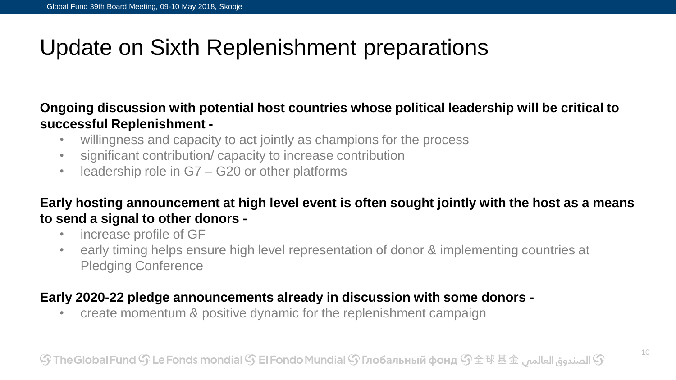## Update on Sixth Replenishment preparations

#### **Ongoing discussion with potential host countries whose political leadership will be critical to successful Replenishment -**

- willingness and capacity to act jointly as champions for the process
- significant contribution/ capacity to increase contribution
- leadership role in G7 G20 or other platforms

#### **Early hosting announcement at high level event is often sought jointly with the host as a means to send a signal to other donors -**

- increase profile of GF
- early timing helps ensure high level representation of donor & implementing countries at Pledging Conference

#### **Early 2020-22 pledge announcements already in discussion with some donors -**

• create momentum & positive dynamic for the replenishment campaign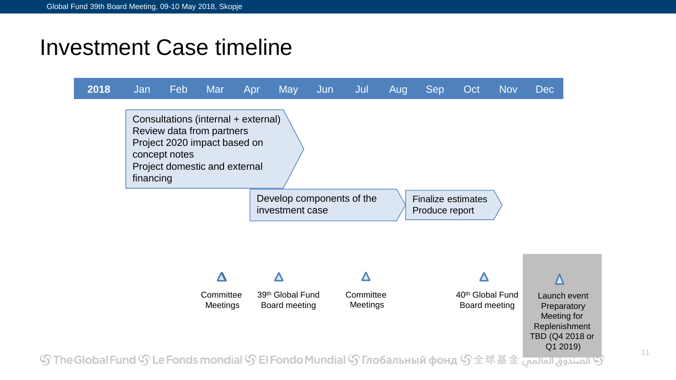### Investment Case timeline